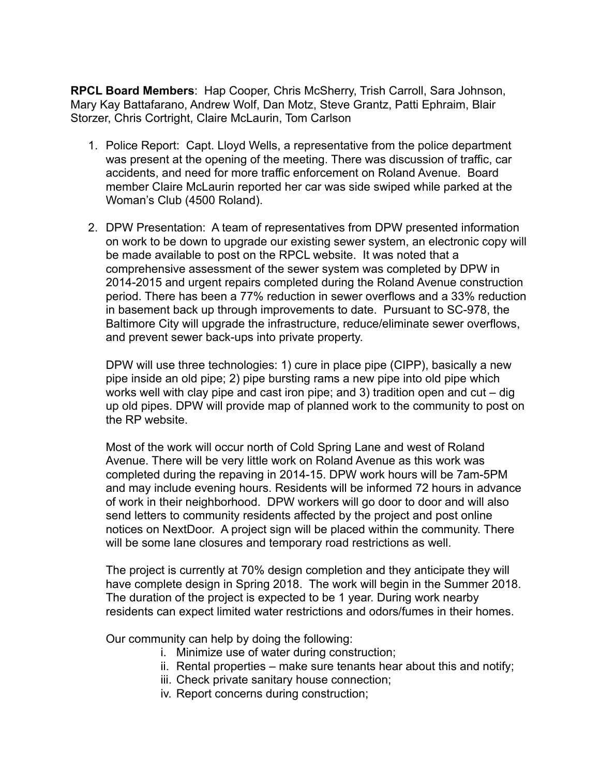**RPCL Board Members**: Hap Cooper, Chris McSherry, Trish Carroll, Sara Johnson, Mary Kay Battafarano, Andrew Wolf, Dan Motz, Steve Grantz, Patti Ephraim, Blair Storzer, Chris Cortright, Claire McLaurin, Tom Carlson

- 1. Police Report: Capt. Lloyd Wells, a representative from the police department was present at the opening of the meeting. There was discussion of traffic, car accidents, and need for more traffic enforcement on Roland Avenue. Board member Claire McLaurin reported her car was side swiped while parked at the Woman's Club (4500 Roland).
- 2. DPW Presentation: A team of representatives from DPW presented information on work to be down to upgrade our existing sewer system, an electronic copy will be made available to post on the RPCL website. It was noted that a comprehensive assessment of the sewer system was completed by DPW in 2014-2015 and urgent repairs completed during the Roland Avenue construction period. There has been a 77% reduction in sewer overflows and a 33% reduction in basement back up through improvements to date. Pursuant to SC-978, the Baltimore City will upgrade the infrastructure, reduce/eliminate sewer overflows, and prevent sewer back-ups into private property.

DPW will use three technologies: 1) cure in place pipe (CIPP), basically a new pipe inside an old pipe; 2) pipe bursting rams a new pipe into old pipe which works well with clay pipe and cast iron pipe; and 3) tradition open and cut – dig up old pipes. DPW will provide map of planned work to the community to post on the RP website.

Most of the work will occur north of Cold Spring Lane and west of Roland Avenue. There will be very little work on Roland Avenue as this work was completed during the repaving in 2014-15. DPW work hours will be 7am-5PM and may include evening hours. Residents will be informed 72 hours in advance of work in their neighborhood. DPW workers will go door to door and will also send letters to community residents affected by the project and post online notices on NextDoor. A project sign will be placed within the community. There will be some lane closures and temporary road restrictions as well.

The project is currently at 70% design completion and they anticipate they will have complete design in Spring 2018. The work will begin in the Summer 2018. The duration of the project is expected to be 1 year. During work nearby residents can expect limited water restrictions and odors/fumes in their homes.

Our community can help by doing the following:

- i. Minimize use of water during construction;
- ii. Rental properties make sure tenants hear about this and notify;
- iii. Check private sanitary house connection;
- iv. Report concerns during construction;